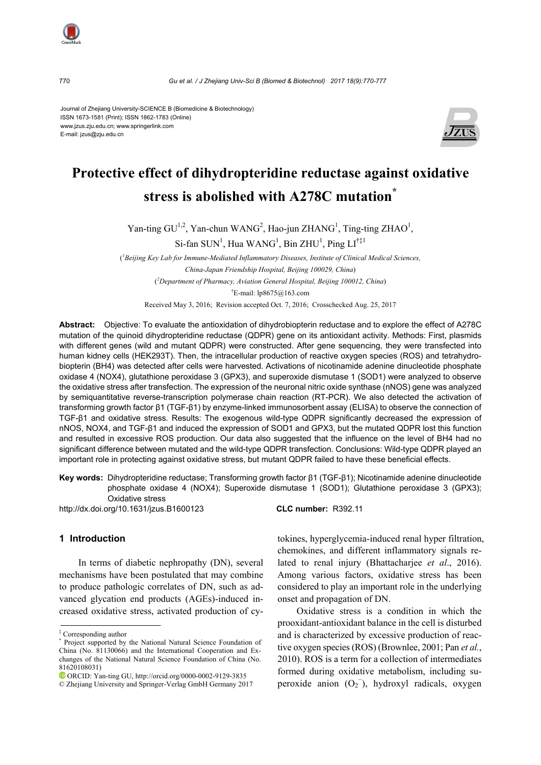770 *Gu et al. / J Zhejiang Univ-Sci B (Biomed & Biotechnol) 2017 18(9):770-777*

Journal of Zhejiang University-SCIENCE B (Biomedicine & Biotechnology) ISSN 1673-1581 (Print); ISSN 1862-1783 (Online) www.jzus.zju.edu.cn; www.springerlink.com E-mail: jzus@zju.edu.cn



# **Protective effect of dihydropteridine reductase against oxidative stress is abolished with A278C mutation\***

Yan-ting  $GU^{1,2}$ , Yan-chun WANG<sup>2</sup>, Hao-jun ZHANG<sup>1</sup>, Ting-ting ZHAO<sup>1</sup>,

 $Si$ -fan SUN<sup>1</sup>, Hua WANG<sup>1</sup>, Bin ZHU<sup>1</sup>, Ping LI<sup>†‡1</sup>

( *1 Beijing Key Lab for Immune-Mediated Inflammatory Diseases, Institute of Clinical Medical Sciences, China-Japan Friendship Hospital, Beijing 100029, China*) ( *2 Department of Pharmacy, Aviation General Hospital, Beijing 100012, China*)

† E-mail: lp8675@163.com

Received May 3, 2016; Revision accepted Oct. 7, 2016; Crosschecked Aug. 25, 2017

**Abstract:** Objective: To evaluate the antioxidation of dihydrobiopterin reductase and to explore the effect of A278C mutation of the quinoid dihydropteridine reductase (QDPR) gene on its antioxidant activity. Methods: First, plasmids with different genes (wild and mutant QDPR) were constructed. After gene sequencing, they were transfected into human kidney cells (HEK293T). Then, the intracellular production of reactive oxygen species (ROS) and tetrahydrobiopterin (BH4) was detected after cells were harvested. Activations of nicotinamide adenine dinucleotide phosphate oxidase 4 (NOX4), glutathione peroxidase 3 (GPX3), and superoxide dismutase 1 (SOD1) were analyzed to observe the oxidative stress after transfection. The expression of the neuronal nitric oxide synthase (nNOS) gene was analyzed by semiquantitative reverse-transcription polymerase chain reaction (RT-PCR). We also detected the activation of transforming growth factor β1 (TGF-β1) by enzyme-linked immunosorbent assay (ELISA) to observe the connection of TGF-β1 and oxidative stress. Results: The exogenous wild-type QDPR significantly decreased the expression of nNOS, NOX4, and TGF-β1 and induced the expression of SOD1 and GPX3, but the mutated QDPR lost this function and resulted in excessive ROS production. Our data also suggested that the influence on the level of BH4 had no significant difference between mutated and the wild-type QDPR transfection. Conclusions: Wild-type QDPR played an important role in protecting against oxidative stress, but mutant QDPR failed to have these beneficial effects.

**Key words:** Dihydropteridine reductase; Transforming growth factor β1 (TGF-β1); Nicotinamide adenine dinucleotide phosphate oxidase 4 (NOX4); Superoxide dismutase 1 (SOD1); Glutathione peroxidase 3 (GPX3); Oxidative stress

http://dx.doi.org/10.1631/jzus.B1600123 **CLC number:** R392.11

#### **1 Introduction**

In terms of diabetic nephropathy (DN), several mechanisms have been postulated that may combine to produce pathologic correlates of DN, such as advanced glycation end products (AGEs)-induced increased oxidative stress, activated production of cy-

tokines, hyperglycemia-induced renal hyper filtration, chemokines, and different inflammatory signals related to renal injury (Bhattacharjee *et al*., 2016). Among various factors, oxidative stress has been considered to play an important role in the underlying onset and propagation of DN.

Oxidative stress is a condition in which the prooxidant-antioxidant balance in the cell is disturbed and is characterized by excessive production of reactive oxygen species (ROS) (Brownlee, 2001; Pan *et al.*, 2010). ROS is a term for a collection of intermediates formed during oxidative metabolism, including superoxide anion  $(O_2^-)$ , hydroxyl radicals, oxygen

<sup>‡</sup> Corresponding author

<sup>\*</sup> Project supported by the National Natural Science Foundation of China (No. 81130066) and the International Cooperation and Exchanges of the National Natural Science Foundation of China (No. 81620108031)

ORCID: Yan-ting GU, http://orcid.org/0000-0002-9129-3835

<sup>©</sup> Zhejiang University and Springer-Verlag GmbH Germany 2017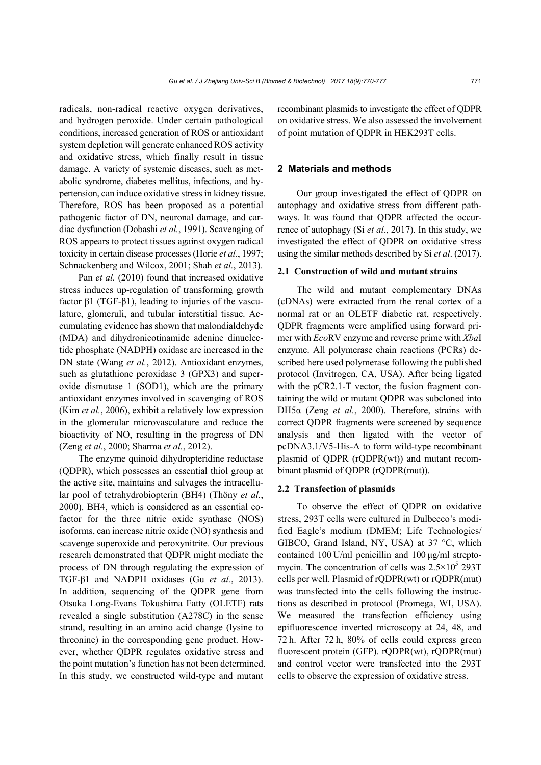radicals, non-radical reactive oxygen derivatives, and hydrogen peroxide. Under certain pathological conditions, increased generation of ROS or antioxidant system depletion will generate enhanced ROS activity and oxidative stress, which finally result in tissue damage. A variety of systemic diseases, such as metabolic syndrome, diabetes mellitus, infections, and hypertension, can induce oxidative stress in kidney tissue. Therefore, ROS has been proposed as a potential pathogenic factor of DN, neuronal damage, and cardiac dysfunction (Dobashi *et al.*, 1991). Scavenging of ROS appears to protect tissues against oxygen radical toxicity in certain disease processes (Horie *et al.*, 1997; Schnackenberg and Wilcox, 2001; Shah *et al.*, 2013).

Pan *et al.* (2010) found that increased oxidative stress induces up-regulation of transforming growth factor β1 (TGF-β1), leading to injuries of the vasculature, glomeruli, and tubular interstitial tissue. Accumulating evidence has shown that malondialdehyde (MDA) and dihydronicotinamide adenine dinuclectide phosphate (NADPH) oxidase are increased in the DN state (Wang *et al.*, 2012). Antioxidant enzymes, such as glutathione peroxidase 3 (GPX3) and superoxide dismutase 1 (SOD1), which are the primary antioxidant enzymes involved in scavenging of ROS (Kim *et al.*, 2006), exhibit a relatively low expression in the glomerular microvasculature and reduce the bioactivity of NO, resulting in the progress of DN (Zeng *et al.*, 2000; Sharma *et al.*, 2012).

The enzyme quinoid dihydropteridine reductase (QDPR), which possesses an essential thiol group at the active site, maintains and salvages the intracellular pool of tetrahydrobiopterin (BH4) (Thöny *et al.*, 2000). BH4, which is considered as an essential cofactor for the three nitric oxide synthase (NOS) isoforms, can increase nitric oxide (NO) synthesis and scavenge superoxide and peroxynitrite. Our previous research demonstrated that QDPR might mediate the process of DN through regulating the expression of TGF-β1 and NADPH oxidases (Gu *et al.*, 2013). In addition, sequencing of the QDPR gene from Otsuka Long-Evans Tokushima Fatty (OLETF) rats revealed a single substitution (A278C) in the sense strand, resulting in an amino acid change (lysine to threonine) in the corresponding gene product. However, whether QDPR regulates oxidative stress and the point mutation's function has not been determined. In this study, we constructed wild-type and mutant recombinant plasmids to investigate the effect of QDPR on oxidative stress. We also assessed the involvement of point mutation of QDPR in HEK293T cells.

#### **2 Materials and methods**

Our group investigated the effect of QDPR on autophagy and oxidative stress from different pathways. It was found that QDPR affected the occurrence of autophagy (Si *et al*., 2017). In this study, we investigated the effect of QDPR on oxidative stress using the similar methods described by Si *et al*. (2017).

#### **2.1 Construction of wild and mutant strains**

The wild and mutant complementary DNAs (cDNAs) were extracted from the renal cortex of a normal rat or an OLETF diabetic rat, respectively. QDPR fragments were amplified using forward primer with *Eco*RV enzyme and reverse prime with *Xba*I enzyme. All polymerase chain reactions (PCRs) described here used polymerase following the published protocol (Invitrogen, CA, USA). After being ligated with the pCR2.1-T vector, the fusion fragment containing the wild or mutant QDPR was subcloned into DH5α (Zeng *et al.*, 2000). Therefore, strains with correct QDPR fragments were screened by sequence analysis and then ligated with the vector of pcDNA3.1/V5-His-A to form wild-type recombinant plasmid of QDPR (rQDPR(wt)) and mutant recombinant plasmid of QDPR (rQDPR(mut)).

#### **2.2 Transfection of plasmids**

To observe the effect of QDPR on oxidative stress, 293T cells were cultured in Dulbecco's modified Eagle's medium (DMEM; Life Technologies/ GIBCO, Grand Island, NY, USA) at 37 °C, which contained 100 U/ml penicillin and 100 μg/ml streptomycin. The concentration of cells was  $2.5 \times 10^5$  293T cells per well. Plasmid of rQDPR(wt) or rQDPR(mut) was transfected into the cells following the instructions as described in protocol (Promega, WI, USA). We measured the transfection efficiency using epifluorescence inverted microscopy at 24, 48, and 72 h. After 72 h, 80% of cells could express green fluorescent protein (GFP). rQDPR(wt), rQDPR(mut) and control vector were transfected into the 293T cells to observe the expression of oxidative stress.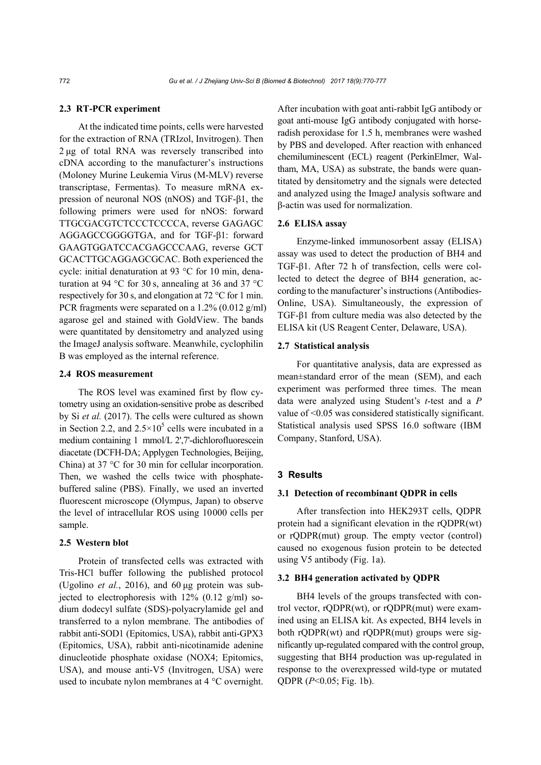### **2.3 RT-PCR experiment**

At the indicated time points, cells were harvested for the extraction of RNA (TRIzol, Invitrogen). Then 2 μg of total RNA was reversely transcribed into cDNA according to the manufacturer's instructions (Moloney Murine Leukemia Virus (M-MLV) reverse transcriptase, Fermentas). To measure mRNA expression of neuronal NOS (nNOS) and TGF-β1, the following primers were used for nNOS: forward TTGCGACGTCTCCCTCCCCA, reverse GAGAGC AGGAGCCGGGGTGA, and for TGF-β1: forward GAAGTGGATCCACGAGCCCAAG, reverse GCT GCACTTGCAGGAGCGCAC. Both experienced the cycle: initial denaturation at 93 °C for 10 min, denaturation at 94 °C for 30 s, annealing at 36 and 37 °C respectively for 30 s, and elongation at 72 °C for 1 min. PCR fragments were separated on a 1.2% (0.012 g/ml) agarose gel and stained with GoldView. The bands were quantitated by densitometry and analyzed using the ImageJ analysis software. Meanwhile, cyclophilin B was employed as the internal reference.

## **2.4 ROS measurement**

The ROS level was examined first by flow cytometry using an oxidation-sensitive probe as described by Si *et al.* (2017). The cells were cultured as shown in Section 2.2, and  $2.5 \times 10^5$  cells were incubated in a medium containing 1 mmol/L 2',7'-dichlorofluorescein diacetate (DCFH-DA; Applygen Technologies, Beijing, China) at 37 °C for 30 min for cellular incorporation. Then, we washed the cells twice with phosphatebuffered saline (PBS). Finally, we used an inverted fluorescent microscope (Olympus, Japan) to observe the level of intracellular ROS using 10000 cells per sample.

### **2.5 Western blot**

Protein of transfected cells was extracted with Tris-HCl buffer following the published protocol (Ugolino *et al.*, 2016), and 60 μg protein was subjected to electrophoresis with 12% (0.12 g/ml) sodium dodecyl sulfate (SDS)-polyacrylamide gel and transferred to a nylon membrane. The antibodies of rabbit anti-SOD1 (Epitomics, USA), rabbit anti-GPX3 (Epitomics, USA), rabbit anti-nicotinamide adenine dinucleotide phosphate oxidase (NOX4; Epitomics, USA), and mouse anti-V5 (Invitrogen, USA) were used to incubate nylon membranes at 4 °C overnight.

After incubation with goat anti-rabbit IgG antibody or goat anti-mouse IgG antibody conjugated with horseradish peroxidase for 1.5 h, membranes were washed by PBS and developed. After reaction with enhanced chemiluminescent (ECL) reagent (PerkinElmer, Waltham, MA, USA) as substrate, the bands were quantitated by densitometry and the signals were detected and analyzed using the ImageJ analysis software and β-actin was used for normalization.

# **2.6 ELISA assay**

Enzyme-linked immunosorbent assay (ELISA) assay was used to detect the production of BH4 and TGF-β1. After 72 h of transfection, cells were collected to detect the degree of BH4 generation, according to the manufacturer's instructions (Antibodies-Online, USA). Simultaneously, the expression of TGF-β1 from culture media was also detected by the ELISA kit (US Reagent Center, Delaware, USA).

#### **2.7 Statistical analysis**

For quantitative analysis, data are expressed as mean±standard error of the mean (SEM), and each experiment was performed three times. The mean data were analyzed using Student's *t*-test and a *P*  value of <0.05 was considered statistically significant. Statistical analysis used SPSS 16.0 software (IBM Company, Stanford, USA).

#### **3 Results**

## **3.1 Detection of recombinant QDPR in cells**

After transfection into HEK293T cells, QDPR protein had a significant elevation in the rQDPR(wt) or rQDPR(mut) group. The empty vector (control) caused no exogenous fusion protein to be detected using V5 antibody (Fig. 1a).

### **3.2 BH4 generation activated by QDPR**

BH4 levels of the groups transfected with control vector, rQDPR(wt), or rQDPR(mut) were examined using an ELISA kit. As expected, BH4 levels in both rQDPR(wt) and rQDPR(mut) groups were significantly up-regulated compared with the control group, suggesting that BH4 production was up-regulated in response to the overexpressed wild-type or mutated QDPR (*P*<0.05; Fig. 1b).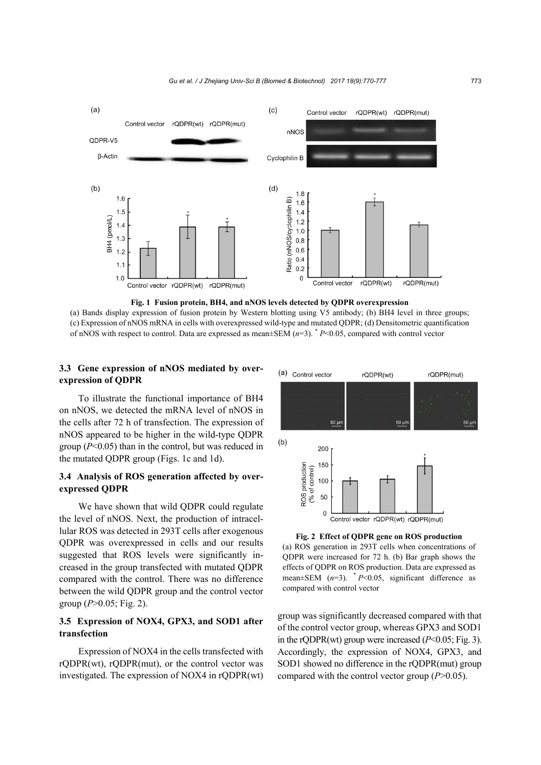



(a) Bands display expression of fusion protein by Western blotting using V5 antibody; (b) BH4 level in three groups; (c) Expression of nNOS mRNA in cells with overexpressed wild-type and mutated QDPR; (d) Densitometric quantification of nNOS with respect to control. Data are expressed as mean±SEM (*n*=3). \*  *P*<0.05, compared with control vector

# **3.3 Gene expression of nNOS mediated by overexpression of QDPR**

To illustrate the functional importance of BH4 on nNOS, we detected the mRNA level of nNOS in the cells after 72 h of transfection. The expression of nNOS appeared to be higher in the wild-type QDPR group (*P*<0.05) than in the control, but was reduced in the mutated QDPR group (Figs. 1c and 1d).

# **3.4 Analysis of ROS generation affected by overexpressed QDPR**

We have shown that wild QDPR could regulate the level of nNOS. Next, the production of intracellular ROS was detected in 293T cells after exogenous QDPR was overexpressed in cells and our results suggested that ROS levels were significantly increased in the group transfected with mutated QDPR compared with the control. There was no difference between the wild QDPR group and the control vector group (*P*>0.05; Fig. 2).

# **3.5 Expression of NOX4, GPX3, and SOD1 after transfection**

Expression of NOX4 in the cells transfected with rQDPR(wt), rQDPR(mut), or the control vector was investigated. The expression of NOX4 in rQDPR(wt)



**Fig. 2 Effect of QDPR gene on ROS production** 

(a) ROS generation in 293T cells when concentrations of QDPR were increased for 72 h. (b) Bar graph shows the effects of QDPR on ROS production. Data are expressed as mean $\pm$ SEM ( $n=3$ ).  $\ast$  *P*<0.05, significant difference as compared with control vector

group was significantly decreased compared with that of the control vector group, whereas GPX3 and SOD1 in the rQDPR(wt) group were increased  $(P< 0.05$ ; Fig. 3). Accordingly, the expression of NOX4, GPX3, and SOD1 showed no difference in the rODPR(mut) group compared with the control vector group (*P*>0.05).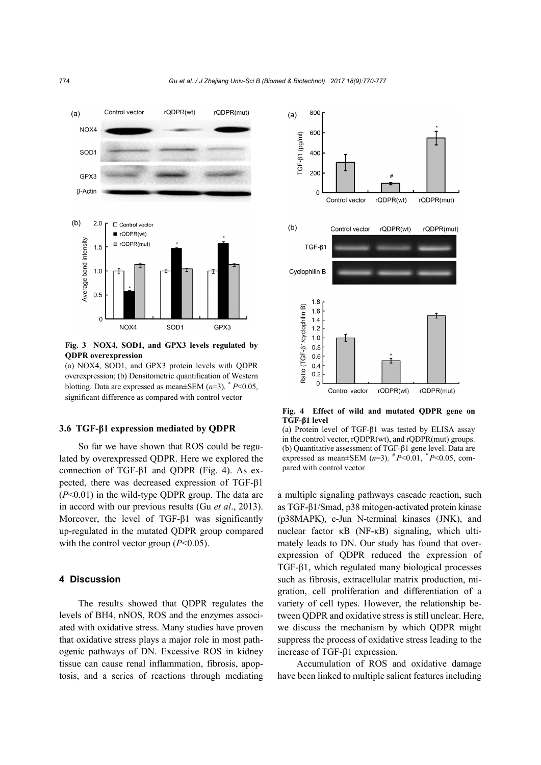

**Fig. 3 NOX4, SOD1, and GPX3 levels regulated by QDPR overexpression** 

(a) NOX4, SOD1, and GPX3 protein levels with QDPR overexpression; (b) Densitometric quantification of Western blotting. Data are expressed as mean $\pm$ SEM ( $n=3$ ).  $^*$  *P*<0.05, significant difference as compared with control vector

# **3.6 TGF-β1 expression mediated by QDPR**

So far we have shown that ROS could be regulated by overexpressed QDPR. Here we explored the connection of TGF-β1 and QDPR (Fig. 4). As expected, there was decreased expression of TGF-β1 (*P*<0.01) in the wild-type QDPR group. The data are in accord with our previous results (Gu *et al*., 2013). Moreover, the level of TGF-β1 was significantly up-regulated in the mutated QDPR group compared with the control vector group ( $P<0.05$ ).

#### **4 Discussion**

The results showed that QDPR regulates the levels of BH4, nNOS, ROS and the enzymes associated with oxidative stress. Many studies have proven that oxidative stress plays a major role in most pathogenic pathways of DN. Excessive ROS in kidney tissue can cause renal inflammation, fibrosis, apoptosis, and a series of reactions through mediating



**Fig. 4 Effect of wild and mutated QDPR gene on TGF-β1 level** 

(a) Protein level of TGF-β1 was tested by ELISA assay in the control vector, rQDPR(wt), and rQDPR(mut) groups. (b) Quantitative assessment of TGF-β1 gene level. Data are expressed as mean±SEM  $(n=3)$ .  $^{#}P<0.01$ ,  $^{*}P<0.05$ , compared with control vector

a multiple signaling pathways cascade reaction, such as TGF-β1/Smad, p38 mitogen-activated protein kinase (p38MAPK), c-Jun N-terminal kinases (JNK), and nuclear factor κB (NF-κB) signaling, which ultimately leads to DN. Our study has found that overexpression of QDPR reduced the expression of TGF-β1, which regulated many biological processes such as fibrosis, extracellular matrix production, migration, cell proliferation and differentiation of a variety of cell types. However, the relationship between QDPR and oxidative stress is still unclear. Here, we discuss the mechanism by which QDPR might suppress the process of oxidative stress leading to the increase of TGF-β1 expression.

Accumulation of ROS and oxidative damage have been linked to multiple salient features including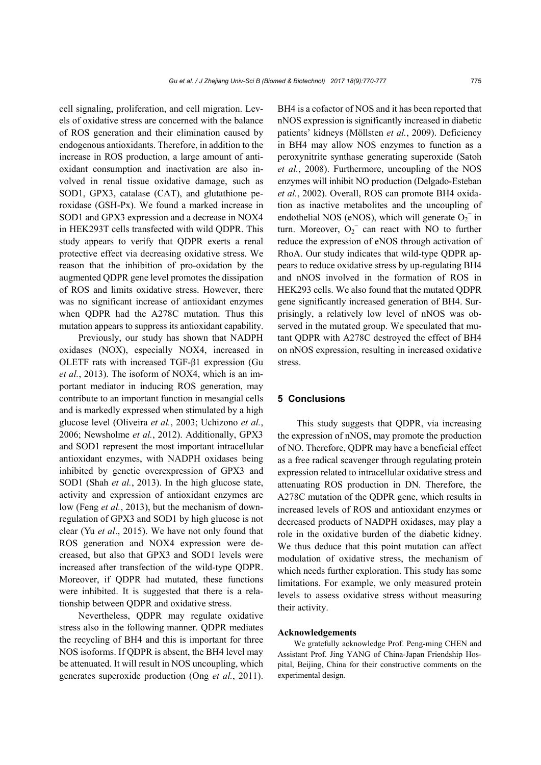cell signaling, proliferation, and cell migration. Levels of oxidative stress are concerned with the balance of ROS generation and their elimination caused by endogenous antioxidants. Therefore, in addition to the increase in ROS production, a large amount of antioxidant consumption and inactivation are also involved in renal tissue oxidative damage, such as SOD1, GPX3, catalase (CAT), and glutathione peroxidase (GSH-Px). We found a marked increase in SOD1 and GPX3 expression and a decrease in NOX4 in HEK293T cells transfected with wild QDPR. This study appears to verify that QDPR exerts a renal protective effect via decreasing oxidative stress. We reason that the inhibition of pro-oxidation by the augmented QDPR gene level promotes the dissipation of ROS and limits oxidative stress. However, there was no significant increase of antioxidant enzymes when QDPR had the A278C mutation. Thus this mutation appears to suppress its antioxidant capability.

Previously, our study has shown that NADPH oxidases (NOX), especially NOX4, increased in OLETF rats with increased TGF-β1 expression (Gu *et al.*, 2013). The isoform of NOX4, which is an important mediator in inducing ROS generation, may contribute to an important function in mesangial cells and is markedly expressed when stimulated by a high glucose level (Oliveira *et al.*, 2003; Uchizono *et al.*, 2006; Newsholme *et al.*, 2012). Additionally, GPX3 and SOD1 represent the most important intracellular antioxidant enzymes, with NADPH oxidases being inhibited by genetic overexpression of GPX3 and SOD1 (Shah *et al.*, 2013). In the high glucose state, activity and expression of antioxidant enzymes are low (Feng *et al.*, 2013), but the mechanism of downregulation of GPX3 and SOD1 by high glucose is not clear (Yu *et al*., 2015). We have not only found that ROS generation and NOX4 expression were decreased, but also that GPX3 and SOD1 levels were increased after transfection of the wild-type QDPR. Moreover, if QDPR had mutated, these functions were inhibited. It is suggested that there is a relationship between QDPR and oxidative stress.

Nevertheless, QDPR may regulate oxidative stress also in the following manner. QDPR mediates the recycling of BH4 and this is important for three NOS isoforms. If QDPR is absent, the BH4 level may be attenuated. It will result in NOS uncoupling, which generates superoxide production (Ong *et al.*, 2011).

BH4 is a cofactor of NOS and it has been reported that nNOS expression is significantly increased in diabetic patients' kidneys (Möllsten *et al.*, 2009). Deficiency in BH4 may allow NOS enzymes to function as a peroxynitrite synthase generating superoxide (Satoh *et al.*, 2008). Furthermore, uncoupling of the NOS enzymes will inhibit NO production (Delgado-Esteban *et al.*, 2002). Overall, ROS can promote BH4 oxidation as inactive metabolites and the uncoupling of endothelial NOS (eNOS), which will generate  $O_2^-$  in turn. Moreover,  $O_2$ <sup>-</sup> can react with NO to further reduce the expression of eNOS through activation of RhoA. Our study indicates that wild-type QDPR appears to reduce oxidative stress by up-regulating BH4 and nNOS involved in the formation of ROS in HEK293 cells. We also found that the mutated QDPR gene significantly increased generation of BH4. Surprisingly, a relatively low level of nNOS was observed in the mutated group. We speculated that mutant QDPR with A278C destroyed the effect of BH4 on nNOS expression, resulting in increased oxidative stress.

#### **5 Conclusions**

This study suggests that QDPR, via increasing the expression of nNOS, may promote the production of NO. Therefore, QDPR may have a beneficial effect as a free radical scavenger through regulating protein expression related to intracellular oxidative stress and attenuating ROS production in DN. Therefore, the A278C mutation of the QDPR gene, which results in increased levels of ROS and antioxidant enzymes or decreased products of NADPH oxidases, may play a role in the oxidative burden of the diabetic kidney. We thus deduce that this point mutation can affect modulation of oxidative stress, the mechanism of which needs further exploration. This study has some limitations. For example, we only measured protein levels to assess oxidative stress without measuring their activity.

#### **Acknowledgements**

We gratefully acknowledge Prof. Peng-ming CHEN and Assistant Prof. Jing YANG of China-Japan Friendship Hospital, Beijing, China for their constructive comments on the experimental design.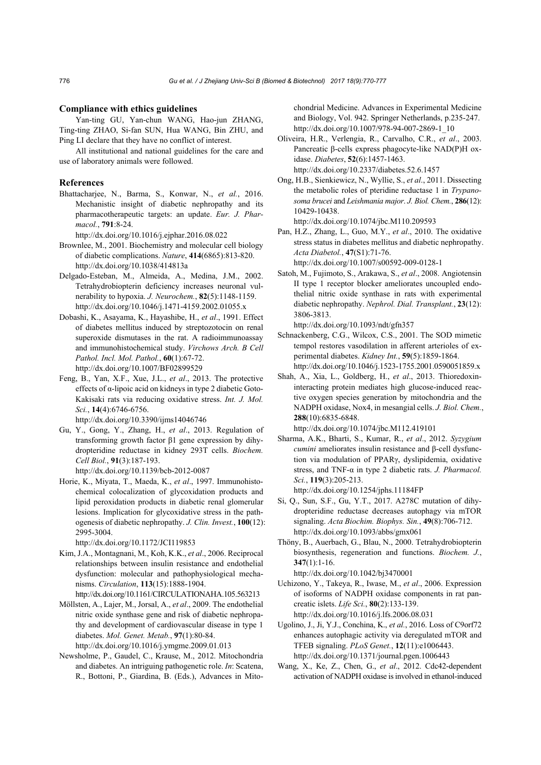#### **Compliance with ethics guidelines**

Yan-ting GU, Yan-chun WANG, Hao-jun ZHANG, Ting-ting ZHAO, Si-fan SUN, Hua WANG, Bin ZHU, and Ping LI declare that they have no conflict of interest.

All institutional and national guidelines for the care and use of laboratory animals were followed.

#### **References**

Bhattacharjee, N., Barma, S., Konwar, N., *et al.*, 2016. Mechanistic insight of diabetic nephropathy and its pharmacotherapeutic targets: an update. *Eur. J. Pharmacol.*, **791**:8-24.

http://dx.doi.org/10.1016/j.ejphar.2016.08.022

- Brownlee, M., 2001. Biochemistry and molecular cell biology of diabetic complications. *Nature*, **414**(6865):813-820. http://dx.doi.org/10.1038/414813a
- Delgado-Esteban, M., Almeida, A., Medina, J.M., 2002. Tetrahydrobiopterin deficiency increases neuronal vulnerability to hypoxia. *J. Neurochem.*, **82**(5):1148-1159. http://dx.doi.org/10.1046/j.1471-4159.2002.01055.x
- Dobashi, K., Asayama, K., Hayashibe, H., *et al*., 1991. Effect of diabetes mellitus induced by streptozotocin on renal superoxide dismutases in the rat. A radioimmunoassay and immunohistochemical study. *Virchows Arch. B Cell Pathol. Incl. Mol. Pathol.*, **60**(1):67-72. http://dx.doi.org/10.1007/BF02899529
- Feng, B., Yan, X.F., Xue, J.L., *et al*., 2013. The protective effects of α-lipoic acid on kidneys in type 2 diabetic Goto-Kakisaki rats via reducing oxidative stress. *Int. J. Mol. Sci.*, **14**(4):6746-6756.

http://dx.doi.org/10.3390/ijms14046746

- Gu, Y., Gong, Y., Zhang, H., *et al*., 2013. Regulation of transforming growth factor β1 gene expression by dihydropteridine reductase in kidney 293T cells. *Biochem. Cell Biol.*, **91**(3):187-193. http://dx.doi.org/10.1139/bcb-2012-0087
- Horie, K., Miyata, T., Maeda, K., *et al*., 1997. Immunohistochemical colocalization of glycoxidation products and lipid peroxidation products in diabetic renal glomerular lesions. Implication for glycoxidative stress in the pathogenesis of diabetic nephropathy. *J. Clin. Invest.*, **100**(12): 2995-3004.

http://dx.doi.org/10.1172/JCI119853

Kim, J.A., Montagnani, M., Koh, K.K., *et al*., 2006. Reciprocal relationships between insulin resistance and endothelial dysfunction: molecular and pathophysiological mechanisms. *Circulation*, **113**(15):1888-1904.

http://dx.doi.org/10.1161/CIRCULATIONAHA.105.563213

- Möllsten, A., Lajer, M., Jorsal, A., *et al*., 2009. The endothelial nitric oxide synthase gene and risk of diabetic nephropathy and development of cardiovascular disease in type 1 diabetes. *Mol. Genet. Metab.*, **97**(1):80-84. http://dx.doi.org/10.1016/j.ymgme.2009.01.013
- Newsholme, P., Gaudel, C., Krause, M., 2012. Mitochondria and diabetes. An intriguing pathogenetic role. *In*: Scatena, R., Bottoni, P., Giardina, B. (Eds.), Advances in Mito-

chondrial Medicine. Advances in Experimental Medicine and Biology, Vol. 942. Springer Netherlands, p.235-247. http://dx.doi.org/10.1007/978-94-007-2869-1\_10

- Oliveira, H.R., Verlengia, R., Carvalho, C.R., *et al*., 2003. Pancreatic β-cells express phagocyte-like NAD(P)H oxidase. *Diabetes*, **52**(6):1457-1463. http://dx.doi.org/10.2337/diabetes.52.6.1457
- Ong, H.B., Sienkiewicz, N., Wyllie, S., *et al*., 2011. Dissecting the metabolic roles of pteridine reductase 1 in *Trypanosoma brucei* and *Leishmania major*. *J. Biol. Chem.*, **286**(12): 10429-10438.

http://dx.doi.org/10.1074/jbc.M110.209593

Pan, H.Z., Zhang, L., Guo, M.Y., *et al*., 2010. The oxidative stress status in diabetes mellitus and diabetic nephropathy. *Acta Diabetol.*, **47**(S1):71-76. http://dx.doi.org/10.1007/s00592-009-0128-1

Satoh, M., Fujimoto, S., Arakawa, S., *et al*., 2008. Angiotensin II type 1 receptor blocker ameliorates uncoupled endothelial nitric oxide synthase in rats with experimental diabetic nephropathy. *Nephrol. Dial. Transplant.*, **23**(12): 3806-3813.

http://dx.doi.org/10.1093/ndt/gfn357

- Schnackenberg, C.G., Wilcox, C.S., 2001. The SOD mimetic tempol restores vasodilation in afferent arterioles of experimental diabetes. *Kidney Int.*, **59**(5):1859-1864. http://dx.doi.org/10.1046/j.1523-1755.2001.0590051859.x
- Shah, A., Xia, L., Goldberg, H., *et al*., 2013. Thioredoxininteracting protein mediates high glucose-induced reactive oxygen species generation by mitochondria and the NADPH oxidase, Nox4, in mesangial cells. *J. Biol. Chem.*, **288**(10):6835-6848. http://dx.doi.org/10.1074/jbc.M112.419101

Sharma, A.K., Bharti, S., Kumar, R., *et al*., 2012. *Syzygium* 

*cumini* ameliorates insulin resistance and β-cell dysfunction via modulation of PPARγ, dyslipidemia, oxidative stress, and TNF-α in type 2 diabetic rats. *J. Pharmacol. Sci.*, **119**(3):205-213.

http://dx.doi.org/10.1254/jphs.11184FP

- Si, Q., Sun, S.F., Gu, Y.T., 2017. A278C mutation of dihydropteridine reductase decreases autophagy via mTOR signaling. *Acta Biochim. Biophys. Sin.*, **49**(8):706-712. http://dx.doi.org/10.1093/abbs/gmx061
- Thöny, B., Auerbach, G., Blau, N., 2000. Tetrahydrobiopterin biosynthesis, regeneration and functions. *Biochem. J.*, **347**(1):1-16.

http://dx.doi.org/10.1042/bj3470001 Uchizono, Y., Takeya, R., Iwase, M., *et al*., 2006. Expression of isoforms of NADPH oxidase components in rat pan-

creatic islets. *Life Sci.*, **80**(2):133-139. http://dx.doi.org/10.1016/j.lfs.2006.08.031

- Ugolino, J., Ji, Y.J., Conchina, K., *et al.*, 2016. Loss of C9orf72 enhances autophagic activity via deregulated mTOR and TFEB signaling. *PLoS Genet.*, **12**(11):e1006443. http://dx.doi.org/10.1371/journal.pgen.1006443
- Wang, X., Ke, Z., Chen, G., *et al*., 2012. Cdc42-dependent activation of NADPH oxidase is involved in ethanol-induced